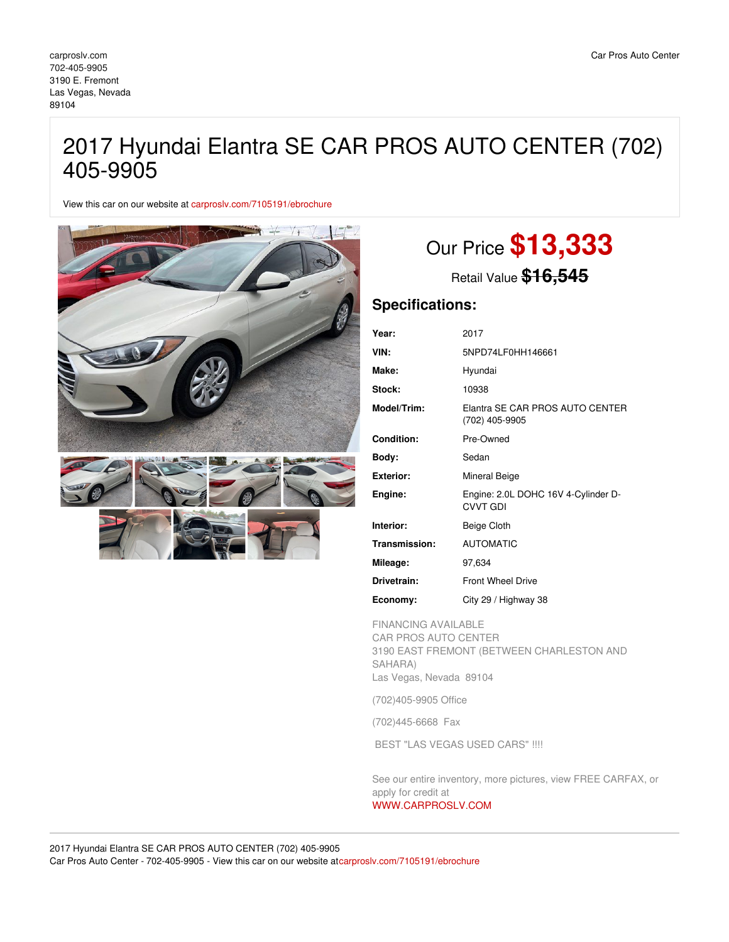## 2017 Hyundai Elantra SE CAR PROS AUTO CENTER (702) 405-9905

View this car on our website at [carproslv.com/7105191/ebrochure](https://carproslv.com/vehicle/7105191/2017-hyundai-elantra-se-car-pros-auto-center-702-405-9905-las-vegas-nevada-89104/7105191/ebrochure)



# Our Price **\$13,333**

Retail Value **\$16,545**

### **Specifications:**

| Year:             | 2017                                                   |
|-------------------|--------------------------------------------------------|
| VIN:              | 5NPD74LF0HH146661                                      |
| Make:             | Hyundai                                                |
| Stock:            | 10938                                                  |
| Model/Trim:       | Elantra SE CAR PROS AUTO CENTER<br>(702) 405-9905      |
| <b>Condition:</b> | Pre-Owned                                              |
| Body:             | Sedan                                                  |
| <b>Exterior:</b>  | Mineral Beige                                          |
| Engine:           | Engine: 2.0L DOHC 16V 4-Cylinder D-<br><b>CVVT GDI</b> |
| Interior:         | Beige Cloth                                            |
| Transmission:     | <b>AUTOMATIC</b>                                       |
| Mileage:          | 97,634                                                 |
| Drivetrain:       | <b>Front Wheel Drive</b>                               |
| Economy:          | City 29 / Highway 38                                   |

FINANCING AVAILABLE CAR PROS AUTO CENTER 3190 EAST FREMONT (BETWEEN CHARLESTON AND SAHARA) Las Vegas, Nevada 89104

(702)405-9905 Office

(702)445-6668 Fax

BEST "LAS VEGAS USED CARS" !!!!

See our entire inventory, more pictures, view FREE CARFAX, or apply for credit at

### [WWW.CARPROSLV.COM](http://www.carproslv.com)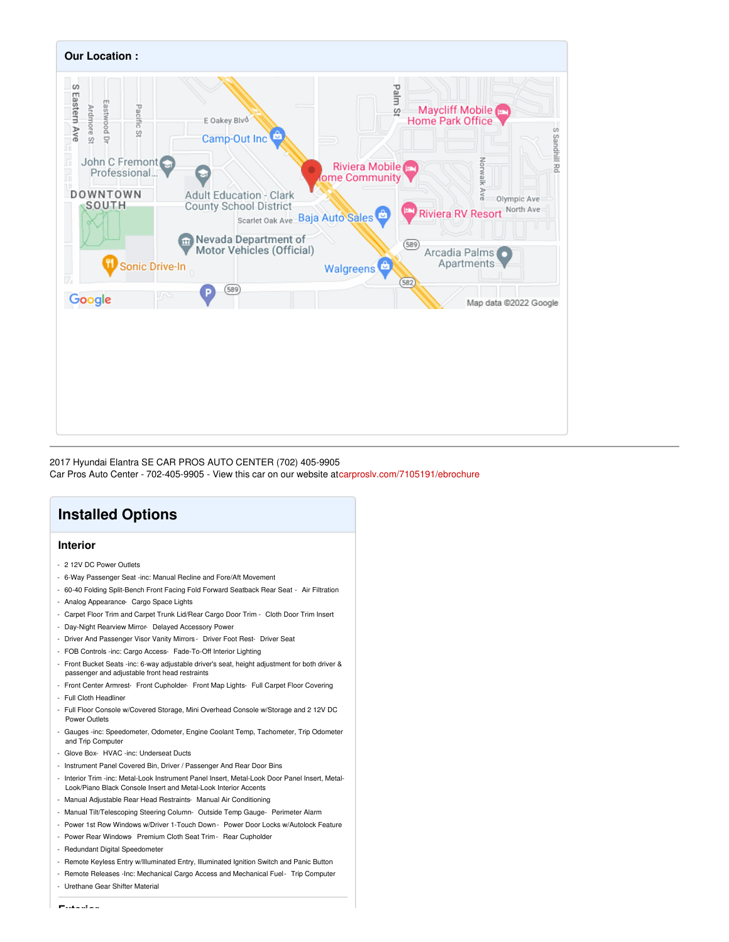

#### 2017 Hyundai Elantra SE CAR PROS AUTO CENTER (702) 405-9905

Car Pros Auto Center - 702-405-9905 - View this car on our website a[tcarproslv.com/7105191/ebrochure](https://carproslv.com/vehicle/7105191/2017-hyundai-elantra-se-car-pros-auto-center-702-405-9905-las-vegas-nevada-89104/7105191/ebrochure)

### **Installed Options**

### **Interior**

- 2 12V DC Power Outlets
- 6-Way Passenger Seat -inc: Manual Recline and Fore/Aft Movement
- 60-40 Folding Split-Bench Front Facing Fold Forward Seatback Rear Seat Air Filtration
- Analog Appearance- Cargo Space Lights
- Carpet Floor Trim and Carpet Trunk Lid/Rear Cargo Door Trim Cloth Door Trim Insert
- Day-Night Rearview Mirror- Delayed Accessory Power
- Driver And Passenger Visor Vanity Mirrors Driver Foot Rest- Driver Seat
- FOB Controls -inc: Cargo Access- Fade-To-Off Interior Lighting
- Front Bucket Seats -inc: 6-way adjustable driver's seat, height adjustment for both driver & passenger and adjustable front head restraints
- Front Center Armrest- Front Cupholder- Front Map Lights- Full Carpet Floor Covering
- Full Cloth Headliner
- Full Floor Console w/Covered Storage, Mini Overhead Console w/Storage and 2 12V DC Power Outlets
- Gauges -inc: Speedometer, Odometer, Engine Coolant Temp, Tachometer, Trip Odometer and Trip Computer
- Glove Box- HVAC -inc: Underseat Ducts
- Instrument Panel Covered Bin, Driver / Passenger And Rear Door Bins
- Interior Trim -inc: Metal-Look Instrument Panel Insert, Metal-Look Door Panel Insert, Metal-Look/Piano Black Console Insert and Metal-Look Interior Accents
- Manual Adjustable Rear Head Restraints- Manual Air Conditioning
- Manual Tilt/Telescoping Steering Column- Outside Temp Gauge- Perimeter Alarm
- Power 1st Row Windows w/Driver 1-Touch Down Power Door Locks w/Autolock Feature
- Power Rear Windows- Premium Cloth Seat Trim- Rear Cupholder
- Redundant Digital Speedometer
- Remote Keyless Entry w/Illuminated Entry, Illuminated Ignition Switch and Panic Button
- Remote Releases -Inc: Mechanical Cargo Access and Mechanical Fuel- Trip Computer
- Urethane Gear Shifter Material